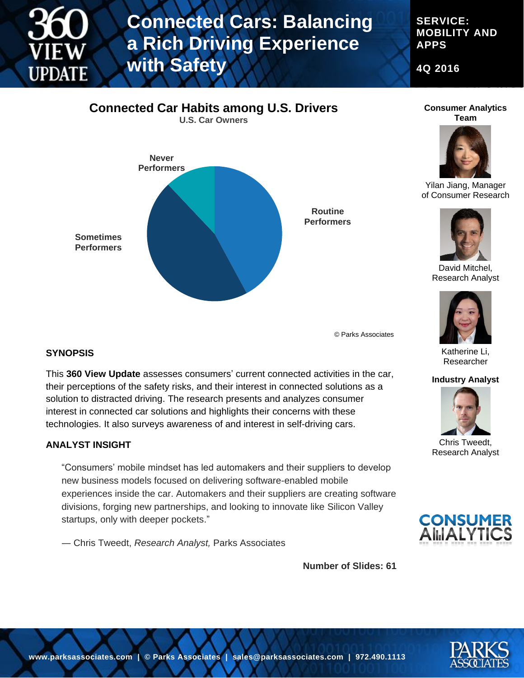

# **Connected Cars: Balancing a Rich Driving Experience with Safety**

**SERVICE: MOBILITY AND APPS**

**4Q 2016**



**Consumer Analytics Team**



Yilan Jiang, Manager of Consumer Research



David Mitchel, Research Analyst



Katherine Li, Researcher

#### **Industry Analyst**



Chris Tweedt, Research Analyst



**Number of Slides: 61**

© Parks Associates

#### **SYNOPSIS**

This **360 View Update** assesses consumers' current connected activities in the car, their perceptions of the safety risks, and their interest in connected solutions as a solution to distracted driving. The research presents and analyzes consumer interest in connected car solutions and highlights their concerns with these technologies. It also surveys awareness of and interest in self-driving cars.

#### **ANALYST INSIGHT**

"Consumers' mobile mindset has led automakers and their suppliers to develop new business models focused on delivering software-enabled mobile experiences inside the car. Automakers and their suppliers are creating software divisions, forging new partnerships, and looking to innovate like Silicon Valley startups, only with deeper pockets."

― Chris Tweedt, *Research Analyst,* Parks Associates

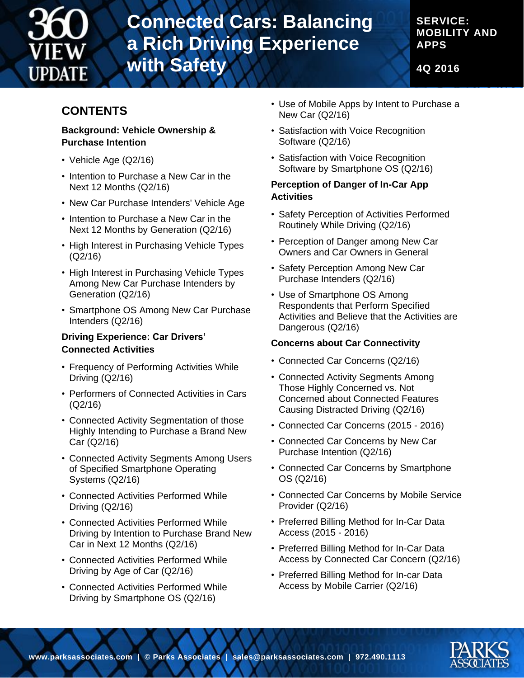

## **Connected Cars: Balancing a Rich Driving Experience with Safety**

**SERVICE: MOBILITY AND APPS**

**4Q 2016**

### **CONTENTS**

#### **Background: Vehicle Ownership & Purchase Intention**

- Vehicle Age (Q2/16)
- Intention to Purchase a New Car in the Next 12 Months (Q2/16)
- New Car Purchase Intenders' Vehicle Age
- Intention to Purchase a New Car in the Next 12 Months by Generation (Q2/16)
- High Interest in Purchasing Vehicle Types (Q2/16)
- High Interest in Purchasing Vehicle Types Among New Car Purchase Intenders by Generation (Q2/16)
- Smartphone OS Among New Car Purchase Intenders (Q2/16)

#### **Driving Experience: Car Drivers' Connected Activities**

- Frequency of Performing Activities While Driving (Q2/16)
- Performers of Connected Activities in Cars (Q2/16)
- Connected Activity Segmentation of those Highly Intending to Purchase a Brand New Car (Q2/16)
- Connected Activity Segments Among Users of Specified Smartphone Operating Systems (Q2/16)
- Connected Activities Performed While Driving (Q2/16)
- Connected Activities Performed While Driving by Intention to Purchase Brand New Car in Next 12 Months (Q2/16)
- Connected Activities Performed While Driving by Age of Car (Q2/16)
- Connected Activities Performed While Driving by Smartphone OS (Q2/16)
- Use of Mobile Apps by Intent to Purchase a New Car (Q2/16)
- Satisfaction with Voice Recognition Software (Q2/16)
- Satisfaction with Voice Recognition Software by Smartphone OS (Q2/16)

#### **Perception of Danger of In-Car App Activities**

- Safety Perception of Activities Performed Routinely While Driving (Q2/16)
- Perception of Danger among New Car Owners and Car Owners in General
- Safety Perception Among New Car Purchase Intenders (Q2/16)
- Use of Smartphone OS Among Respondents that Perform Specified Activities and Believe that the Activities are Dangerous (Q2/16)

#### **Concerns about Car Connectivity**

- Connected Car Concerns (Q2/16)
- Connected Activity Segments Among Those Highly Concerned vs. Not Concerned about Connected Features Causing Distracted Driving (Q2/16)
- Connected Car Concerns (2015 2016)
- Connected Car Concerns by New Car Purchase Intention (Q2/16)
- Connected Car Concerns by Smartphone OS (Q2/16)
- Connected Car Concerns by Mobile Service Provider (Q2/16)
- Preferred Billing Method for In-Car Data Access (2015 - 2016)
- Preferred Billing Method for In-Car Data Access by Connected Car Concern (Q2/16)
- Preferred Billing Method for In-car Data Access by Mobile Carrier (Q2/16)